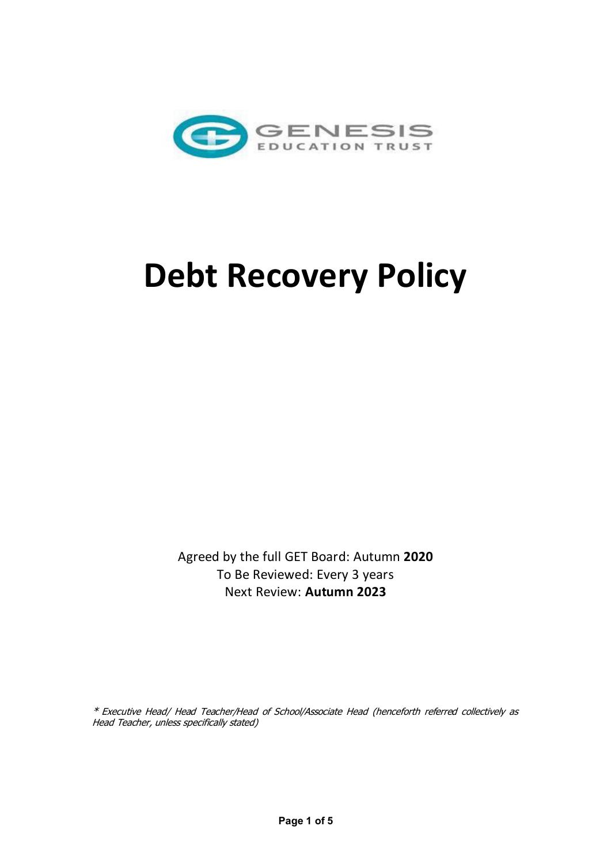

# **Debt Recovery Policy**

Agreed by the full GET Board: Autumn **2020** To Be Reviewed: Every 3 years Next Review: **Autumn 2023**

\* Executive Head/ Head Teacher/Head of School/Associate Head (henceforth referred collectively as Head Teacher, unless specifically stated)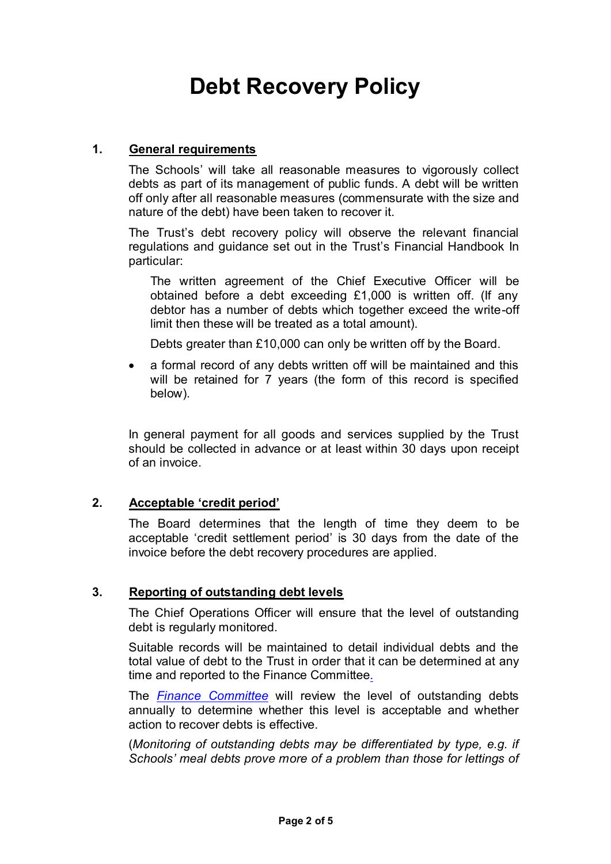# **Debt Recovery Policy**

# **1. General requirements**

The Schools' will take all reasonable measures to vigorously collect debts as part of its management of public funds. A debt will be written off only after all reasonable measures (commensurate with the size and nature of the debt) have been taken to recover it.

The Trust's debt recovery policy will observe the relevant financial regulations and guidance set out in the Trust's Financial Handbook In particular:

The written agreement of the Chief Executive Officer will be obtained before a debt exceeding £1,000 is written off. (If any debtor has a number of debts which together exceed the write-off limit then these will be treated as a total amount).

Debts greater than £10,000 can only be written off by the Board.

• a formal record of any debts written off will be maintained and this will be retained for 7 years (the form of this record is specified below).

In general payment for all goods and services supplied by the Trust should be collected in advance or at least within 30 days upon receipt of an invoice.

# **2. Acceptable 'credit period'**

The Board determines that the length of time they deem to be acceptable 'credit settlement period' is 30 days from the date of the invoice before the debt recovery procedures are applied.

# **3. Reporting of outstanding debt levels**

The Chief Operations Officer will ensure that the level of outstanding debt is regularly monitored.

Suitable records will be maintained to detail individual debts and the total value of debt to the Trust in order that it can be determined at any time and reported to the Finance Committee*.* 

The *Finance Committee* will review the level of outstanding debts annually to determine whether this level is acceptable and whether action to recover debts is effective.

(*Monitoring of outstanding debts may be differentiated by type, e.g. if Schools' meal debts prove more of a problem than those for lettings of*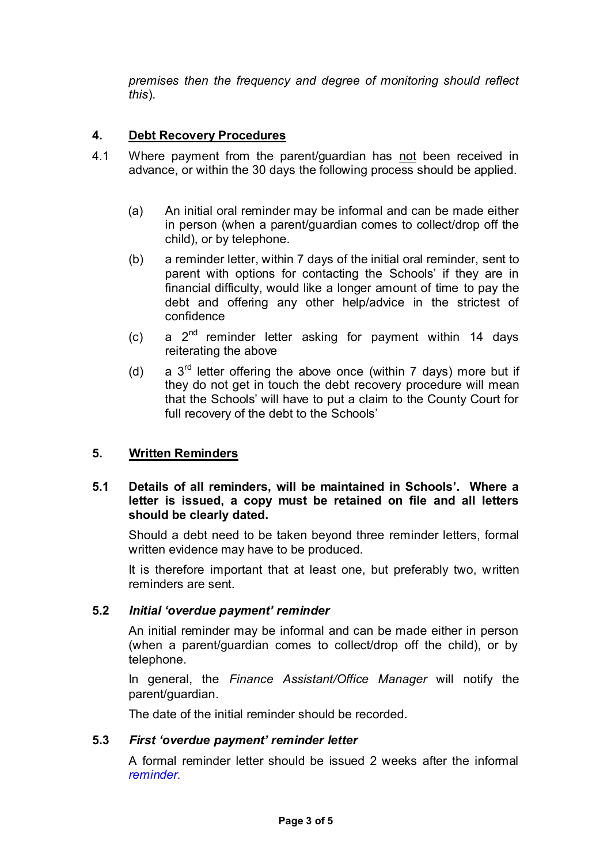*premises then the frequency and degree of monitoring should reflect this*).

# **4. Debt Recovery Procedures**

- 4.1 Where payment from the parent/guardian has not been received in advance, or within the 30 days the following process should be applied.
	- (a) An initial oral reminder may be informal and can be made either in person (when a parent/guardian comes to collect/drop off the child), or by telephone.
	- (b) a reminder letter, within 7 days of the initial oral reminder, sent to parent with options for contacting the Schools' if they are in financial difficulty, would like a longer amount of time to pay the debt and offering any other help/advice in the strictest of confidence
	- $(c)$  a  $2<sup>nd</sup>$  reminder letter asking for payment within 14 days reiterating the above
	- (d) a  $3<sup>rd</sup>$  letter offering the above once (within 7 days) more but if they do not get in touch the debt recovery procedure will mean that the Schools' will have to put a claim to the County Court for full recovery of the debt to the Schools'

# **5. Written Reminders**

# **5.1 Details of all reminders, will be maintained in Schools'. Where a letter is issued, a copy must be retained on file and all letters should be clearly dated.**

Should a debt need to be taken beyond three reminder letters, formal written evidence may have to be produced.

It is therefore important that at least one, but preferably two, written reminders are sent.

#### **5.2** *Initial 'overdue payment' reminder*

An initial reminder may be informal and can be made either in person (when a parent/guardian comes to collect/drop off the child), or by telephone.

In general, the *Finance Assistant/Office Manager* will notify the parent/guardian.

The date of the initial reminder should be recorded.

#### **5.3** *First 'overdue payment' reminder letter*

A formal reminder letter should be issued 2 weeks after the informal *reminder.*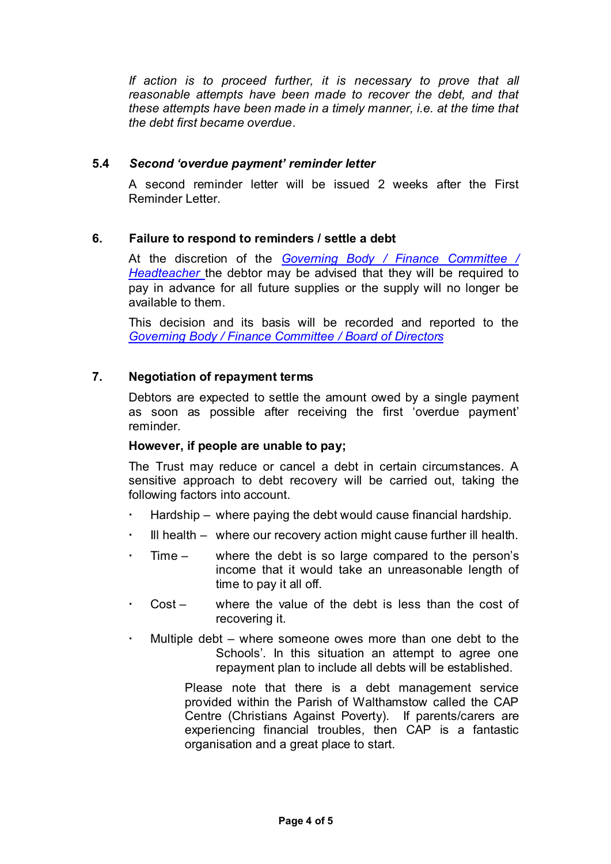*If action is to proceed further, it is necessary to prove that all reasonable attempts have been made to recover the debt, and that these attempts have been made in a timely manner, i.e. at the time that the debt first became overdue*.

#### **5.4** *Second 'overdue payment' reminder letter*

A second reminder letter will be issued 2 weeks after the First Reminder Letter.

# **6. Failure to respond to reminders / settle a debt**

At the discretion of the *Governing Body / Finance Committee / Headteacher* the debtor may be advised that they will be required to pay in advance for all future supplies or the supply will no longer be available to them.

This decision and its basis will be recorded and reported to the *Governing Body / Finance Committee / Board of Directors*

# **7. Negotiation of repayment terms**

Debtors are expected to settle the amount owed by a single payment as soon as possible after receiving the first 'overdue payment' reminder.

#### **However, if people are unable to pay;**

The Trust may reduce or cancel a debt in certain circumstances. A sensitive approach to debt recovery will be carried out, taking the following factors into account.

- Hardship where paying the debt would cause financial hardship.
- Ill health where our recovery action might cause further ill health.
- Time where the debt is so large compared to the person's income that it would take an unreasonable length of time to pay it all off.
- Cost where the value of the debt is less than the cost of recovering it.
- Multiple debt where someone owes more than one debt to the Schools'. In this situation an attempt to agree one repayment plan to include all debts will be established.

Please note that there is a debt management service provided within the Parish of Walthamstow called the CAP Centre (Christians Against Poverty). If parents/carers are experiencing financial troubles, then CAP is a fantastic organisation and a great place to start.